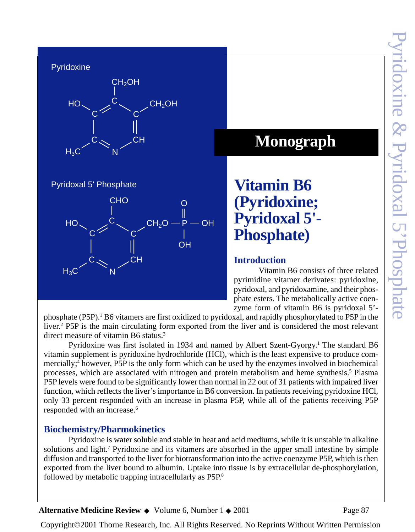**Pyridoxine** 



Pyridoxal 5' Phosphate



# **Monograph**

**Vitamin B6 (Pyridoxine; Pyridoxal 5'- Phosphate)**

## **Introduction**

Vitamin B6 consists of three related pyrimidine vitamer derivates: pyridoxine, pyridoxal, and pyridoxamine, and their phosphate esters. The metabolically active coenzyme form of vitamin B6 is pyridoxal 5'-

phosphate (P5P).<sup>1</sup> B6 vitamers are first oxidized to pyridoxal, and rapidly phosphorylated to P5P in the liver.<sup>2</sup> P5P is the main circulating form exported from the liver and is considered the most relevant direct measure of vitamin B6 status.<sup>3</sup>

Pyridoxine was first isolated in 1934 and named by Albert Szent-Gyorgy.<sup>1</sup> The standard B6 vitamin supplement is pyridoxine hydrochloride (HCl), which is the least expensive to produce commercially;<sup>4</sup> however, P5P is the only form which can be used by the enzymes involved in biochemical processes, which are associated with nitrogen and protein metabolism and heme synthesis.<sup>5</sup> Plasma P5P levels were found to be significantly lower than normal in 22 out of 31 patients with impaired liver function, which reflects the liver's importance in B6 conversion. In patients receiving pyridoxine HCl, only 33 percent responded with an increase in plasma P5P, while all of the patients receiving P5P responded with an increase.<sup>6</sup>

# **Biochemistry/Pharmokinetics**

Pyridoxine is water soluble and stable in heat and acid mediums, while it is unstable in alkaline solutions and light.<sup>7</sup> Pyridoxine and its vitamers are absorbed in the upper small intestine by simple diffusion and transported to the liver for biotransformation into the active coenzyme P5P, which is then exported from the liver bound to albumin. Uptake into tissue is by extracellular de-phosphorylation, followed by metabolic trapping intracellularly as P5P.8

Alternative Medicine Review ◆ Volume 6, Number 1 ◆ 2001 Page 87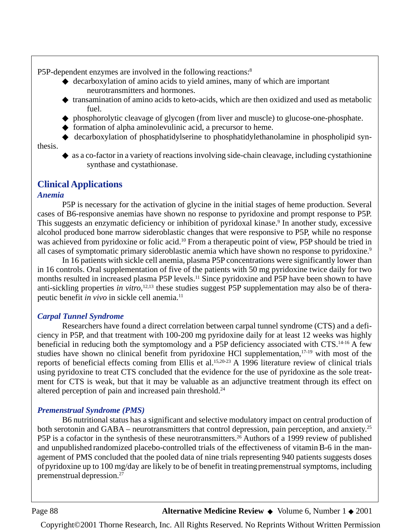P5P-dependent enzymes are involved in the following reactions:<sup>8</sup>

- ◆ decarboxylation of amino acids to yield amines, many of which are important neurotransmitters and hormones.
- transamination of amino acids to keto-acids, which are then oxidized and used as metabolic fuel.
- ◆ phosphorolytic cleavage of glycogen (from liver and muscle) to glucose-one-phosphate.
- ◆ formation of alpha aminolevulinic acid, a precursor to heme.
- ◆ decarboxylation of phosphatidylserine to phosphatidylethanolamine in phospholipid synthesis.
	- $\bullet$  as a co-factor in a variety of reactions involving side-chain cleavage, including cystathionine synthase and cystathionase.

## **Clinical Applications**

#### *Anemia*

P5P is necessary for the activation of glycine in the initial stages of heme production. Several cases of B6-responsive anemias have shown no response to pyridoxine and prompt response to P5P. This suggests an enzymatic deficiency or inhibition of pyridoxal kinase.<sup>9</sup> In another study, excessive alcohol produced bone marrow sideroblastic changes that were responsive to P5P, while no response was achieved from pyridoxine or folic acid.<sup>10</sup> From a therapeutic point of view, P5P should be tried in all cases of symptomatic primary sideroblastic anemia which have shown no response to pyridoxine.<sup>9</sup>

In 16 patients with sickle cell anemia, plasma P5P concentrations were significantly lower than in 16 controls. Oral supplementation of five of the patients with 50 mg pyridoxine twice daily for two months resulted in increased plasma P5P levels.11 Since pyridoxine and P5P have been shown to have anti-sickling properties *in vitro*, 12,13 these studies suggest P5P supplementation may also be of therapeutic benefit *in vivo* in sickle cell anemia.11

#### *Carpal Tunnel Syndrome*

Researchers have found a direct correlation between carpal tunnel syndrome (CTS) and a deficiency in P5P, and that treatment with 100-200 mg pyridoxine daily for at least 12 weeks was highly beneficial in reducing both the symptomology and a P5P deficiency associated with CTS.<sup>14-16</sup> A few studies have shown no clinical benefit from pyridoxine HCl supplementation, $17-19$  with most of the reports of beneficial effects coming from Ellis et al.<sup>15,20-23</sup> A 1996 literature review of clinical trials using pyridoxine to treat CTS concluded that the evidence for the use of pyridoxine as the sole treatment for CTS is weak, but that it may be valuable as an adjunctive treatment through its effect on altered perception of pain and increased pain threshold.24

#### *Premenstrual Syndrome (PMS)*

B6 nutritional status has a significant and selective modulatory impact on central production of both serotonin and GABA – neurotransmitters that control depression, pain perception, and anxiety.<sup>25</sup> P5P is a cofactor in the synthesis of these neurotransmitters.<sup>26</sup> Authors of a 1999 review of published and unpublished randomized placebo-controlled trials of the effectiveness of vitaminB-6 in the management of PMS concluded that the pooled data of nine trials representing 940 patients suggests doses ofpyridoxine up to 100 mg/day are likely to be of benefit in treatingpremenstrual symptoms, including premenstrual depression.27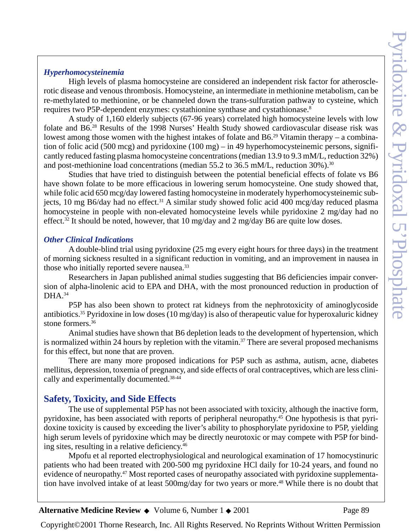#### *Hyperhomocysteinemia*

High levels of plasma homocysteine are considered an independent risk factor for atherosclerotic disease and venous thrombosis. Homocysteine, an intermediate in methionine metabolism, can be re-methylated to methionine, or be channeled down the trans-sulfuration pathway to cysteine, which requires two P5P-dependent enzymes: cystathionine synthase and cystathionase.8

A study of 1,160 elderly subjects (67-96 years) correlated high homocysteine levels with low folate and B6.28 Results of the 1998 Nurses' Health Study showed cardiovascular disease risk was lowest among those women with the highest intakes of folate and B6.<sup>29</sup> Vitamin therapy – a combination of folic acid (500 mcg) and pyridoxine (100 mg) – in 49 hyperhomocysteinemic persons, significantly reduced fasting plasma homocysteine concentrations (median 13.9 to 9.3 mM/L, reduction 32%) and post-methionine load concentrations (median 55.2 to 36.5 mM/L, reduction 30%).30

Studies that have tried to distinguish between the potential beneficial effects of folate vs B6 have shown folate to be more efficacious in lowering serum homocysteine. One study showed that, while folic acid 650 mcg/day lowered fasting homocysteine in moderately hyperhomocysteinemic subjects, 10 mg B6/day had no effect.<sup>31</sup> A similar study showed folic acid 400 mcg/day reduced plasma homocysteine in people with non-elevated homocysteine levels while pyridoxine 2 mg/day had no effect.<sup>32</sup> It should be noted, however, that 10 mg/day and 2 mg/day B6 are quite low doses.

#### *Other Clinical Indications*

A double-blind trial using pyridoxine (25 mg every eight hours for three days) in the treatment of morning sickness resulted in a significant reduction in vomiting, and an improvement in nausea in those who initially reported severe nausea.<sup>33</sup>

Researchers in Japan published animal studies suggesting that B6 deficiencies impair conversion of alpha-linolenic acid to EPA and DHA, with the most pronounced reduction in production of  $DHA.<sup>34</sup>$ 

P5P has also been shown to protect rat kidneys from the nephrotoxicity of aminoglycoside antibiotics.<sup>35</sup> Pyridoxine in low doses (10 mg/day) is also of the rapeutic value for hyperoxaluric kidney stone formers.<sup>36</sup>

Animal studies have shown that B6 depletion leads to the development of hypertension, which is normalized within 24 hours by repletion with the vitamin.<sup>37</sup> There are several proposed mechanisms for this effect, but none that are proven.

There are many more proposed indications for P5P such as asthma, autism, acne, diabetes mellitus, depression, toxemia of pregnancy, and side effects of oral contraceptives, which are less clinically and experimentally documented.38-44

## **Safety, Toxicity, and Side Effects**

The use of supplemental P5P has not been associated with toxicity, although the inactive form, pyridoxine, has been associated with reports of peripheral neuropathy.45 One hypothesis is that pyridoxine toxicity is caused by exceeding the liver's ability to phosphorylate pyridoxine to P5P, yielding high serum levels of pyridoxine which may be directly neurotoxic or may compete with P5P for binding sites, resulting in a relative deficiency.46

Mpofu et al reported electrophysiological and neurological examination of 17 homocystinuric patients who had been treated with 200-500 mg pyridoxine HCl daily for 10-24 years, and found no evidence of neuropathy.<sup>47</sup> Most reported cases of neuropathy associated with pyridoxine supplementation have involved intake of at least 500mg/day for two years or more.<sup>48</sup> While there is no doubt that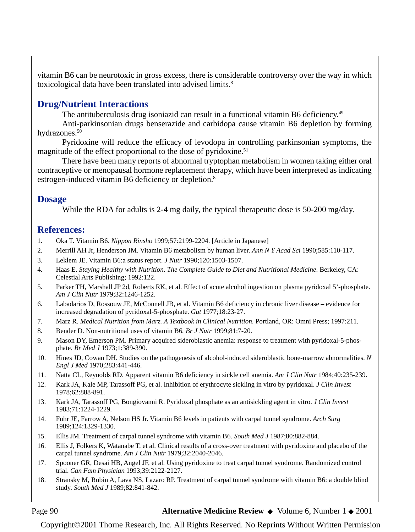vitamin B6 can be neurotoxic in gross excess, there is considerable controversy over the way in which toxicological data have been translated into advised limits.<sup>8</sup>

## **Drug/Nutrient Interactions**

The antituberculosis drug isoniazid can result in a functional vitamin B6 deficiency.<sup>49</sup>

Anti-parkinsonian drugs benserazide and carbidopa cause vitamin B6 depletion by forming hydrazones.<sup>50</sup>

Pyridoxine will reduce the efficacy of levodopa in controlling parkinsonian symptoms, the magnitude of the effect proportional to the dose of pyridoxine.<sup>51</sup>

There have been many reports of abnormal tryptophan metabolism in women taking either oral contraceptive or menopausal hormone replacement therapy, which have been interpreted as indicating estrogen-induced vitamin B6 deficiency or depletion.<sup>8</sup>

## **Dosage**

While the RDA for adults is 2-4 mg daily, the typical therapeutic dose is 50-200 mg/day.

## **References:**

- 1. Oka T. Vitamin B6. *Nippon Rinsho* 1999;57:2199-2204. [Article in Japanese]
- 2. Merrill AH Jr, Henderson JM. Vitamin B6 metabolism by human liver. *Ann N Y Acad Sci* 1990;585:110-117.
- 3. Leklem JE. Vitamin B6:a status report. *J Nutr* 1990;120:1503-1507.
- 4. Haas E. *Staying Healthy with Nutrition. The Complete Guide to Diet and Nutritional Medicine*. Berkeley, CA: Celestial Arts Publishing; 1992:122.
- 5. Parker TH, Marshall JP 2d, Roberts RK, et al. Effect of acute alcohol ingestion on plasma pyridoxal 5'-phosphate. *Am J Clin Nutr* 1979;32:1246-1252.
- 6. Labadarios D, Rossouw JE, McConnell JB, et al. Vitamin B6 deficiency in chronic liver disease evidence for increased degradation of pyridoxal-5-phosphate. *Gut* 1977;18:23-27.
- 7. Marz R*. Medical Nutrition from Marz. A Textbook in Clinical Nutrition*. Portland, OR: Omni Press; 1997:211.
- 8. Bender D. Non-nutritional uses of vitamin B6*. Br J Nutr* 1999;81:7-20.
- 9. Mason DY, Emerson PM. Primary acquired sideroblastic anemia: response to treatment with pyridoxal-5-phosphate. *Br Med J* 1973;1:389-390.
- 10. Hines JD, Cowan DH. Studies on the pathogenesis of alcohol-induced sideroblastic bone-marrow abnormalities. *N Engl J Med* 1970;283:441-446.
- 11. Natta CL, Reynolds RD. Apparent vitamin B6 deficiency in sickle cell anemia. *Am J Clin Nutr* 1984;40:235-239.
- 12. Kark JA, Kale MP, Tarassoff PG, et al. Inhibition of erythrocyte sickling in vitro by pyridoxal. *J Clin Invest* 1978;62:888-891.
- 13. Kark JA, Tarassoff PG, Bongiovanni R. Pyridoxal phosphate as an antisickling agent in vitro. *J Clin Invest* 1983;71:1224-1229.
- 14. Fuhr JE, Farrow A, Nelson HS Jr. Vitamin B6 levels in patients with carpal tunnel syndrome. *Arch Surg* 1989;124:1329-1330.
- 15. Ellis JM. Treatment of carpal tunnel syndrome with vitamin B6. *South Med J* 1987;80:882-884.
- 16. Ellis J, Folkers K, Watanabe T, et al. Clinical results of a cross-over treatment with pyridoxine and placebo of the carpal tunnel syndrome. *Am J Clin Nutr* 1979;32:2040-2046.
- 17. Spooner GR, Desai HB, Angel JF, et al. Using pyridoxine to treat carpal tunnel syndrome. Randomized control trial. *Can Fam Physician* 1993;39:2122-2127.
- 18. Stransky M, Rubin A, Lava NS, Lazaro RP. Treatment of carpal tunnel syndrome with vitamin B6: a double blind study. *South Med J* 1989;82:841-842.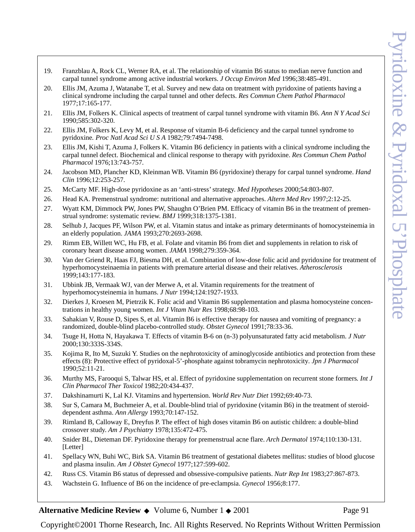- 19. Franzblau A, Rock CL, Werner RA, et al. The relationship of vitamin B6 status to median nerve function and carpal tunnel syndrome among active industrial workers. *J Occup Environ Med* 1996;38:485-491.
- 20. Ellis JM, Azuma J, Watanabe T, et al. Survey and new data on treatment with pyridoxine of patients having a clinical syndrome including the carpal tunnel and other defects. *Res Commun Chem Pathol Pharmacol* 1977;17:165-177.
- 21. Ellis JM, Folkers K. Clinical aspects of treatment of carpal tunnel syndrome with vitamin B6. *Ann N Y Acad Sci* 1990;585:302-320.
- 22. Ellis JM, Folkers K, Levy M, et al. Response of vitamin B-6 deficiency and the carpal tunnel syndrome to pyridoxine*. Proc Natl Acad Sci U S A* 1982;79:7494-7498.
- 23. Ellis JM, Kishi T, Azuma J, Folkers K. Vitamin B6 deficiency in patients with a clinical syndrome including the carpal tunnel defect. Biochemical and clinical response to therapy with pyridoxine. *Res Commun Chem Pathol Pharmacol* 1976;13:743-757.
- 24. Jacobson MD, Plancher KD, Kleinman WB. Vitamin B6 (pyridoxine) therapy for carpal tunnel syndrome. *Hand Clin* 1996;12:253-257.
- 25. McCarty MF. High-dose pyridoxine as an 'anti-stress' strategy. *Med Hypotheses* 2000;54:803-807.
- 26. Head KA. Premenstrual syndrome: nutritional and alternative approaches. *Altern Med Rev* 1997;2:12-25.
- 27. Wyatt KM, Dimmock PW, Jones PW, Shaughn O'Brien PM. Efficacy of vitamin B6 in the treatment of premenstrual syndrome: systematic review. *BMJ* 1999;318:1375-1381.
- 28. Selhub J, Jacques PF, Wilson PW, et al. Vitamin status and intake as primary determinants of homocysteinemia in an elderly population. *JAMA* 1993;270:2693-2698.
- 29. Rimm EB, Willett WC, Hu FB, et al. Folate and vitamin B6 from diet and supplements in relation to risk of coronary heart disease among women. *JAMA* 1998;279:359-364.
- 30. Van der Griend R, Haas FJ, Biesma DH, et al. Combination of low-dose folic acid and pyridoxine for treatment of hyperhomocysteinaemia in patients with premature arterial disease and their relatives. *Atherosclerosis* 1999;143:177-183.
- 31. Ubbink JB, Vermaak WJ, van der Merwe A, et al. Vitamin requirements for the treatment of hyperhomocysteinemia in humans. *J Nutr* 1994;124:1927-1933.
- 32. Dierkes J, Kroesen M, Pietrzik K. Folic acid and Vitamin B6 supplementation and plasma homocysteine concentrations in healthy young women. *Int J Vitam Nutr Res* 1998;68:98-103.
- 33. Sahakian V, Rouse D, Sipes S, et al. Vitamin B6 is effective therapy for nausea and vomiting of pregnancy: a randomized, double-blind placebo-controlled study. *Obstet Gynecol* 1991;78:33-36.
- 34. Tsuge H, Hotta N, Hayakawa T. Effects of vitamin B-6 on (n-3) polyunsaturated fatty acid metabolism. *J Nutr* 2000;130:333S-334S.
- 35. Kojima R, Ito M, Suzuki Y. Studies on the nephrotoxicity of aminoglycoside antibiotics and protection from these effects (8): Protective effect of pyridoxal-5'-phosphate against tobramycin nephrotoxicity*. Jpn J Pharmacol* 1990;52:11-21.
- 36. Murthy MS, Farooqui S, Talwar HS, et al. Effect of pyridoxine supplementation on recurrent stone formers*. Int J Clin Pharmacol Ther Toxicol* 1982;20:434-437.
- 37. Dakshinamurti K, Lal KJ. Vitamins and hypertension. *World Rev Nutr Diet* 1992;69:40-73.
- 38. Sur S, Camara M, Buchmeier A, et al. Double-blind trial of pyridoxine (vitamin B6) in the treatment of steroiddependent asthma. *Ann Allergy* 1993;70:147-152.
- 39. Rimland B, Calloway E, Dreyfus P. The effect of high doses vitamin B6 on autistic children: a double-blind crossover study. *Am J Psychiatry* 1978;135:472-475.
- 40. Snider BL, Dieteman DF. Pyridoxine therapy for premenstrual acne flare. *Arch Dermatol* 1974;110:130-131. [Letter]
- 41. Spellacy WN, Buhi WC, Birk SA. Vitamin B6 treatment of gestational diabetes mellitus: studies of blood glucose and plasma insulin. *Am J Obstet Gynecol* 1977;127:599-602.
- 42. Russ CS. Vitamin B6 status of depressed and obsessive-compulsive patients. *Nutr Rep Int* 1983;27:867-873.
- 43. Wachstein G. Influence of B6 on the incidence of pre-eclampsia. *Gynecol* 1956;8:177.

#### Alternative Medicine Review ◆ Volume 6, Number 1 ◆ 2001 Page 91